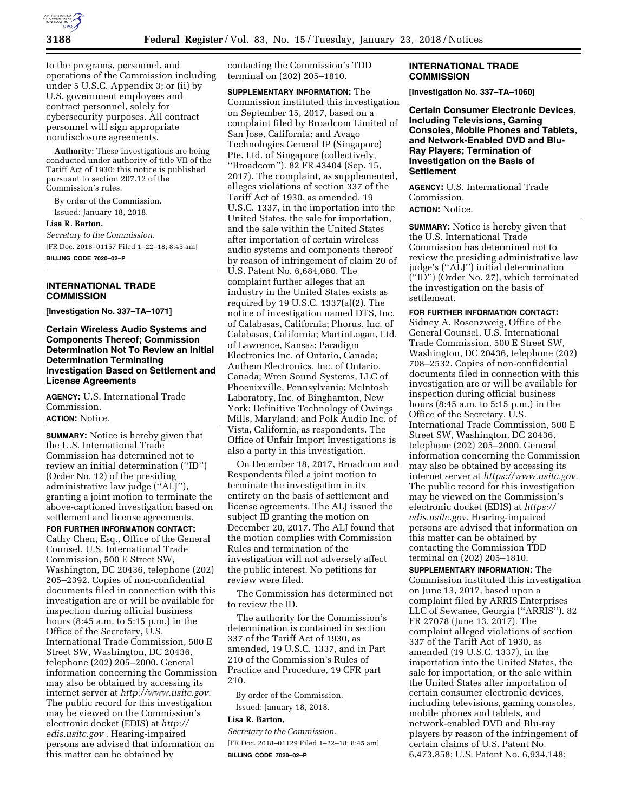

to the programs, personnel, and operations of the Commission including under 5 U.S.C. Appendix 3; or (ii) by U.S. government employees and contract personnel, solely for cybersecurity purposes. All contract personnel will sign appropriate nondisclosure agreements.

**Authority:** These investigations are being conducted under authority of title VII of the Tariff Act of 1930; this notice is published pursuant to section 207.12 of the Commission's rules.

By order of the Commission. Issued: January 18, 2018. **Lisa R. Barton,**  *Secretary to the Commission.* 

[FR Doc. 2018–01157 Filed 1–22–18; 8:45 am] **BILLING CODE 7020–02–P** 

### **INTERNATIONAL TRADE COMMISSION**

**[Investigation No. 337–TA–1071]** 

### **Certain Wireless Audio Systems and Components Thereof; Commission Determination Not To Review an Initial Determination Terminating Investigation Based on Settlement and License Agreements**

**AGENCY:** U.S. International Trade Commission. **ACTION:** Notice.

# **SUMMARY:** Notice is hereby given that the U.S. International Trade Commission has determined not to review an initial determination (''ID'') (Order No. 12) of the presiding administrative law judge (''ALJ''),

granting a joint motion to terminate the above-captioned investigation based on settlement and license agreements. **FOR FURTHER INFORMATION CONTACT:** 

Cathy Chen, Esq., Office of the General Counsel, U.S. International Trade Commission, 500 E Street SW, Washington, DC 20436, telephone (202) 205–2392. Copies of non-confidential documents filed in connection with this investigation are or will be available for inspection during official business hours (8:45 a.m. to 5:15 p.m.) in the Office of the Secretary, U.S. International Trade Commission, 500 E Street SW, Washington, DC 20436, telephone (202) 205–2000. General information concerning the Commission may also be obtained by accessing its internet server at *[http://www.usitc.gov.](http://www.usitc.gov)*  The public record for this investigation may be viewed on the Commission's electronic docket (EDIS) at *[http://](http://edis.usitc.gov) [edis.usitc.gov](http://edis.usitc.gov)* . Hearing-impaired persons are advised that information on this matter can be obtained by

contacting the Commission's TDD terminal on (202) 205–1810.

**SUPPLEMENTARY INFORMATION:** The Commission instituted this investigation on September 15, 2017, based on a complaint filed by Broadcom Limited of San Jose, California; and Avago Technologies General IP (Singapore) Pte. Ltd. of Singapore (collectively, ''Broadcom''). 82 FR 43404 (Sep. 15, 2017). The complaint, as supplemented, alleges violations of section 337 of the Tariff Act of 1930, as amended, 19 U.S.C. 1337, in the importation into the United States, the sale for importation, and the sale within the United States after importation of certain wireless audio systems and components thereof by reason of infringement of claim 20 of U.S. Patent No. 6,684,060. The complaint further alleges that an industry in the United States exists as required by 19 U.S.C. 1337(a)(2). The notice of investigation named DTS, Inc. of Calabasas, California; Phorus, Inc. of Calabasas, California; MartinLogan, Ltd. of Lawrence, Kansas; Paradigm Electronics Inc. of Ontario, Canada; Anthem Electronics, Inc. of Ontario, Canada; Wren Sound Systems, LLC of Phoenixville, Pennsylvania; McIntosh Laboratory, Inc. of Binghamton, New York; Definitive Technology of Owings Mills, Maryland; and Polk Audio Inc. of Vista, California, as respondents. The Office of Unfair Import Investigations is also a party in this investigation.

On December 18, 2017, Broadcom and Respondents filed a joint motion to terminate the investigation in its entirety on the basis of settlement and license agreements. The ALJ issued the subject ID granting the motion on December 20, 2017. The ALJ found that the motion complies with Commission Rules and termination of the investigation will not adversely affect the public interest. No petitions for review were filed.

The Commission has determined not to review the ID.

The authority for the Commission's determination is contained in section 337 of the Tariff Act of 1930, as amended, 19 U.S.C. 1337, and in Part 210 of the Commission's Rules of Practice and Procedure, 19 CFR part 210.

By order of the Commission. Issued: January 18, 2018.

### **Lisa R. Barton,**

*Secretary to the Commission.*  [FR Doc. 2018–01129 Filed 1–22–18; 8:45 am] **BILLING CODE 7020–02–P** 

### **INTERNATIONAL TRADE COMMISSION**

**[Investigation No. 337–TA–1060]** 

**Certain Consumer Electronic Devices, Including Televisions, Gaming Consoles, Mobile Phones and Tablets, and Network-Enabled DVD and Blu-Ray Players; Termination of Investigation on the Basis of Settlement** 

**AGENCY:** U.S. International Trade Commission.

# **ACTION:** Notice.

**SUMMARY:** Notice is hereby given that the U.S. International Trade Commission has determined not to review the presiding administrative law judge's (''ALJ'') initial determination (''ID'') (Order No. 27), which terminated the investigation on the basis of settlement.

### **FOR FURTHER INFORMATION CONTACT:**

Sidney A. Rosenzweig, Office of the General Counsel, U.S. International Trade Commission, 500 E Street SW, Washington, DC 20436, telephone (202) 708–2532. Copies of non-confidential documents filed in connection with this investigation are or will be available for inspection during official business hours (8:45 a.m. to 5:15 p.m.) in the Office of the Secretary, U.S. International Trade Commission, 500 E Street SW, Washington, DC 20436, telephone (202) 205–2000. General information concerning the Commission may also be obtained by accessing its internet server at *[https://www.usitc.gov.](https://www.usitc.gov)*  The public record for this investigation may be viewed on the Commission's electronic docket (EDIS) at *[https://](https://edis.usitc.gov) [edis.usitc.gov.](https://edis.usitc.gov)* Hearing-impaired persons are advised that information on this matter can be obtained by contacting the Commission TDD terminal on (202) 205–1810.

**SUPPLEMENTARY INFORMATION:** The Commission instituted this investigation on June 13, 2017, based upon a complaint filed by ARRIS Enterprises LLC of Sewanee, Georgia (''ARRIS''). 82 FR 27078 (June 13, 2017). The complaint alleged violations of section 337 of the Tariff Act of 1930, as amended (19 U.S.C. 1337), in the importation into the United States, the sale for importation, or the sale within the United States after importation of certain consumer electronic devices, including televisions, gaming consoles, mobile phones and tablets, and network-enabled DVD and Blu-ray players by reason of the infringement of certain claims of U.S. Patent No. 6,473,858; U.S. Patent No. 6,934,148;